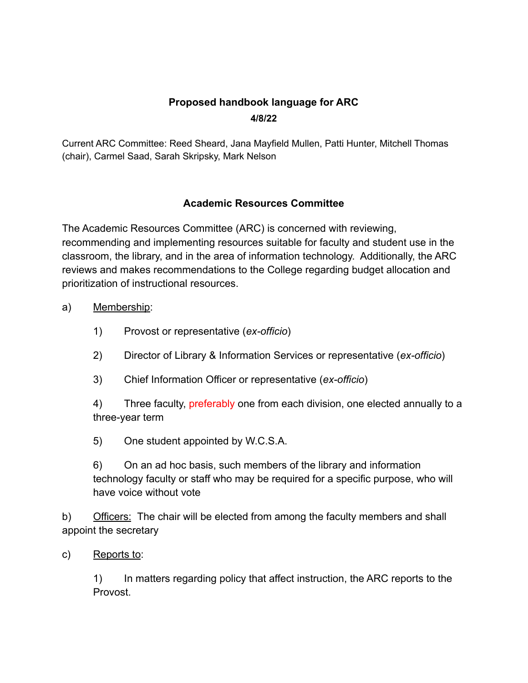## **Proposed handbook language for ARC 4/8/22**

Current ARC Committee: Reed Sheard, Jana Mayfield Mullen, Patti Hunter, Mitchell Thomas (chair), Carmel Saad, Sarah Skripsky, Mark Nelson

## **Academic Resources Committee**

The Academic Resources Committee (ARC) is concerned with reviewing, recommending and implementing resources suitable for faculty and student use in the classroom, the library, and in the area of information technology. Additionally, the ARC reviews and makes recommendations to the College regarding budget allocation and prioritization of instructional resources.

- a) Membership:
	- 1) Provost or representative (*ex-officio*)
	- 2) Director of Library & Information Services or representative (*ex-officio*)
	- 3) Chief Information Officer or representative (*ex-officio*)

4) Three faculty, preferably one from each division, one elected annually to a three-year term

5) One student appointed by W.C.S.A.

6) On an ad hoc basis, such members of the library and information technology faculty or staff who may be required for a specific purpose, who will have voice without vote

b) Officers: The chair will be elected from among the faculty members and shall appoint the secretary

c) Reports to:

1) In matters regarding policy that affect instruction, the ARC reports to the Provost.